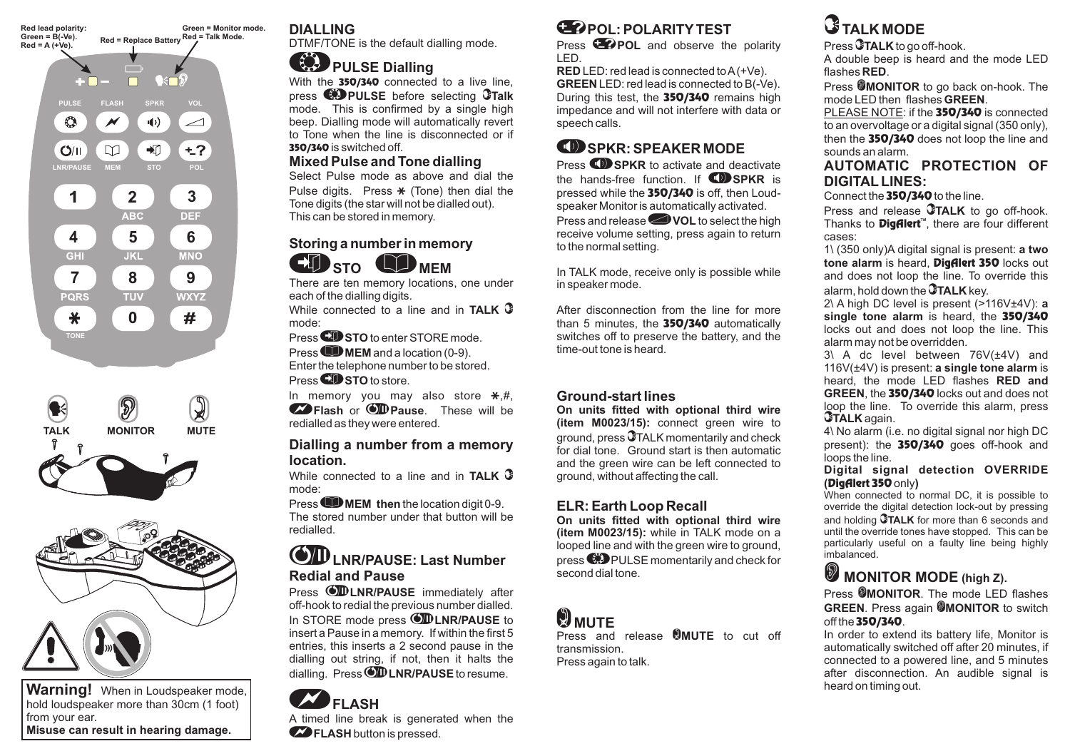





**Warning!** When in Loudspeaker mode, hold loudspeaker more than 30cm (1 foot) from your ear. **Misuse can result in hearing damage.**

### **DIALLING**

DTMF/TONE is the default dialling mode.

## **PULSE Dialling**

With the 350/340 connected to a live line, press before selecting **PULSE Talk** mode. This is confirmed by <sup>a</sup> single high beep. Dialling mode will automatically revert to Tone when the line is disconnected or if **350/340** is switched off.

### **Mixed Pulse and Tone dialling**

Select Pulse mode as above and dial thePulse digits. Press  $\text{\#}$  (Tone) then dial the Tone digits (the star will not be dialled out). This can be stored in memory.

### **Storing <sup>a</sup> number in memory**  $\mathbf{E}$  of  $\mathbf{S}$   $\mathbf{S}$   $\mathbf{S}$

**STO MEM** 

There are ten memory locations, one under each of the dialling digits.

While connected to a line and in**TALK**mode:

**Press WISTO** to enter STORE mode. Press **CD STO** to enter STORE mod<br>Press CD MEM and a location (0-9).

Enter the telephone number to be stored.

Press **CD** STO to store.

In memory you may also store  $\bm{\divideontimes}, \bm{\#},$  $\bullet$  **Flash** or *OD* **Pause**. These will be redialled as they were entered.

### **Dialling <sup>a</sup> number from <sup>a</sup> memory location.**

While connected to a line and in**TALK**mode:

**Press CD MEM** then the location digit 0-9. The stored number under that button will be redialled.

### **LNR/PAUSE: Last Number Redial and Pause**

Press **WLNR/PAUSE** immediately after off-hook to redial the previous number dialled. In STORE mode press **OD LNR/PAUSE** to insert <sup>a</sup> Pause in <sup>a</sup> memory. If within the first 5 entries, this inserts <sup>a</sup> 2 second pause in the dialling out string, if not, then it halts the dialling. Press **OD LNR/PAUSE** to resume.



**POL: POLARITY TEST**

Press **<sup>2</sup>POL** and observe the polarity LED.

LED: red lead is connected toA(+Ve). **RED** LED: red lead is connected to B(-Ve). **GREEN**During this test, the **350/340** remains high impedance and will not interfere with data or speech calls.

### -**SPKR: SPEAKER MODE**

Press  $\bigcirc$  **SPKR** to activate and deactivate the hands-free function. If **ID SPKR** is pressed while the 350/340 is off, then Loudspeaker Monitor is automatically activated. **Press and release WOL** to select the high receive volume setting, press again to return to the normal setting.

In TALK mode, receive only is possible while in speaker mode.

After disconnection from the line for morethan 5 minutes, the 350/340 automatically switches off to preserve the battery, and the time-out tone is heard.

### **Ground-start lines**

**(item M0023/15):** connect green wire to ground, press  $\mathbb G$ TALK momentarily and check for dial tone. Ground start is then automatic and the green wire can be left connected to ground, without affecting the call. **On units fitted with optional third wire**

### **ELR: Earth Loop Recall**

**(item M0023/15):** while in TALK mode on a looped line and with the green wire to ground, press  $\bigcirc$  PULSE momentarily and check for second dial tone. **On units fitted with optional third wire**

## **W** MUTE

Press and release **OMUTE** to cut off transmission.Press again to talk.

# **TALK MODE**

Press **3TALK** to go off-hook. A double beep is heard and the mode LED flashes **RED**.

Press **@MONITOR** to go back on-hook. The mode LED then flashes **GREEN**.

PLEASE NOTE: if the **350/340** is connected to an overvoltage or <sup>a</sup> digital signal (350 only), then the 350/340 does not loop the line and sounds an alarm.

### **AUTOMATIC PROTECTION OFDIGITAL LINES:**

Connect the  $\bf 350/340$  to the line.

Press and release **CTALK** to go off-hook. Thanks to **Digfilert**™, there are four different cases:

1\ (350 only)A digital signal is present: **a two tone alarm** is heard, Digfilert 350 locks out and does not loop the line. To override this alarm, hold down the **GTALK** key.

2\ A high DC level is present (>116V±4V): a **single tone alarm** is heard, the 350/340 locks out and does not loop the line. This alarm may not be overridden.

3\ A dc level between 76V(±4V) and **1**16V(±4V) is present: **a single tone alarm** is heard, the mode LED flashes **RED andGREEN**, the 350/340 locks out and does not loop the line. To override this alarm, press **GTALK** again.

4\ No alarm (i.e. no digital signal nor high DC present): the 350/340 goes off-hook and loops the line.

**(DigAlert 350** only**) Digital signal detection OVERRIDE**

When connected to normal DC, it is possible to override the digital detection lock-out by pressing and holding **GTALK** for more than 6 seconds and until the override tones have stopped. This can be particularly useful on <sup>a</sup> faulty line being highly imbalanced.

## **MONITOR MODE (high Z).**

Press **@MONITOR**. The mode LED flashes **GREEN**. Press again **@MONITOR** to switch off the **350/340**.

In order to extend its battery life, Monitor is automatically switched off after 20 minutes, if connected to <sup>a</sup> powered line, and 5 minutes after disconnection. An audible signal is heard on timing out.

A timed line break is generated when the  $\bullet$  **FLASH** button is pressed.